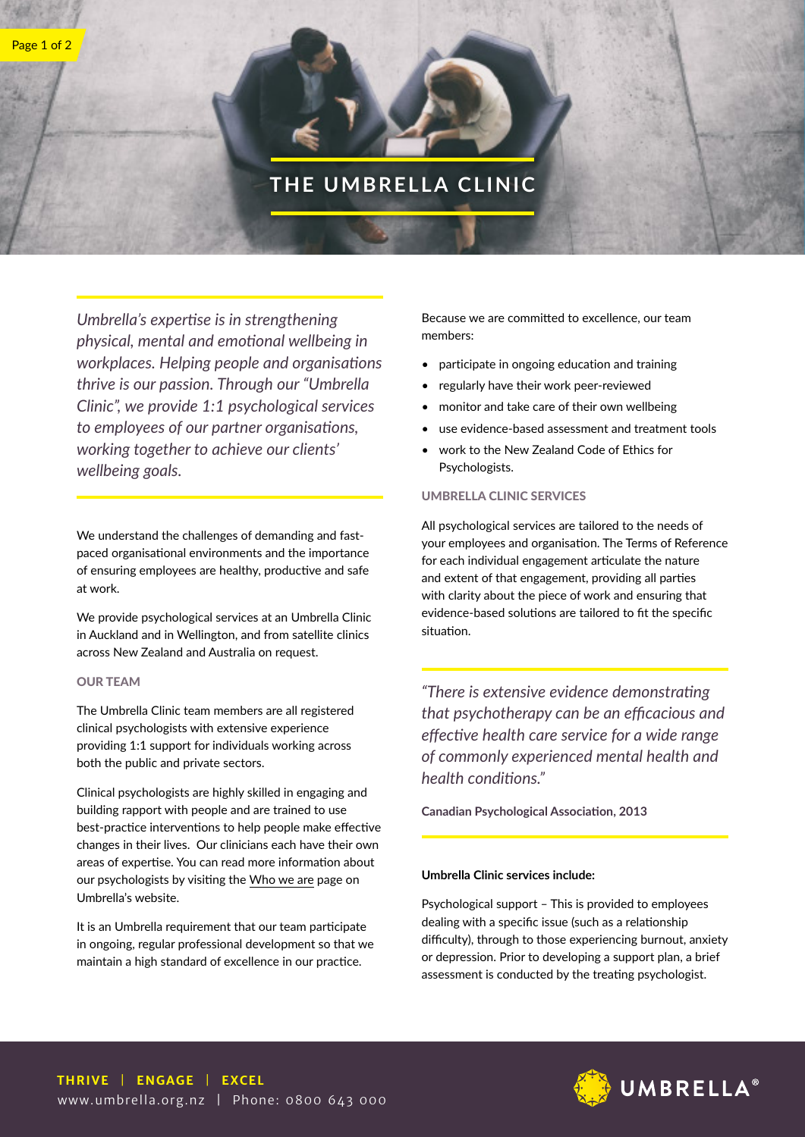# **THE UMBRELLA CLINIC**

*Umbrella's expertise is in strengthening physical, mental and emotional wellbeing in workplaces. Helping people and organisations thrive is our passion. Through our "Umbrella Clinic", we provide 1:1 psychological services to employees of our partner organisations, working together to achieve our clients' wellbeing goals.* 

We understand the challenges of demanding and fastpaced organisational environments and the importance of ensuring employees are healthy, productive and safe at work.

We provide psychological services at an Umbrella Clinic in Auckland and in Wellington, and from satellite clinics across New Zealand and Australia on request.

### OUR TEAM

Page 1 of 2

The Umbrella Clinic team members are all registered clinical psychologists with extensive experience providing 1:1 support for individuals working across both the public and private sectors.

Clinical psychologists are highly skilled in engaging and building rapport with people and are trained to use best-practice interventions to help people make effective changes in their lives. Our clinicians each have their own areas of expertise. You can read more information about our psychologists by visiting the Who we are page on Umbrella's website.

It is an Umbrella requirement that our team participate in ongoing, regular professional development so that we maintain a high standard of excellence in our practice.

Because we are committed to excellence, our team members:

- participate in ongoing education and training
- regularly have their work peer-reviewed
- monitor and take care of their own wellbeing
- use evidence-based assessment and treatment tools
- work to the New Zealand Code of Ethics for Psychologists.

# UMBRELLA CLINIC SERVICES

All psychological services are tailored to the needs of your employees and organisation. The Terms of Reference for each individual engagement articulate the nature and extent of that engagement, providing all parties with clarity about the piece of work and ensuring that evidence-based solutions are tailored to fit the specific situation.

*"There is extensive evidence demonstrating that psychotherapy can be an efficacious and effective health care service for a wide range of commonly experienced mental health and health conditions."*

**Canadian Psychological Association, 2013**

#### **Umbrella Clinic services include:**

Psychological support – This is provided to employees dealing with a specific issue (such as a relationship difficulty), through to those experiencing burnout, anxiety or depression. Prior to developing a support plan, a brief assessment is conducted by the treating psychologist.